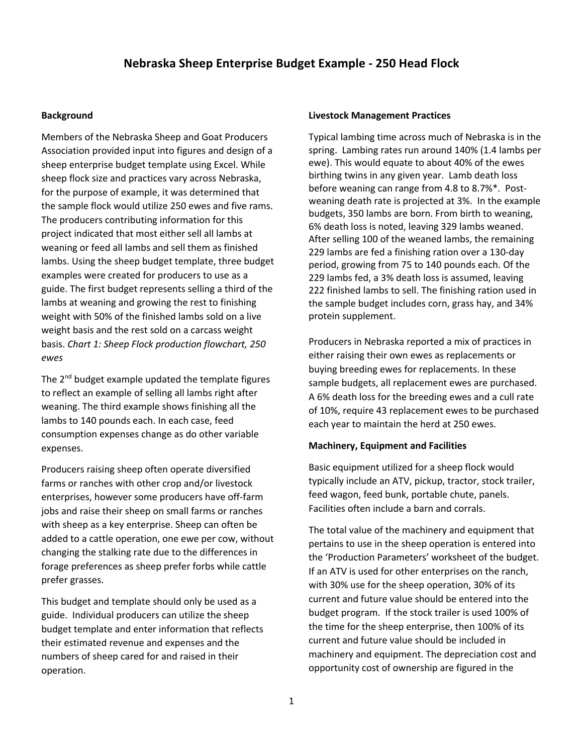# **Nebraska Sheep Enterprise Budget Example - 250 Head Flock**

#### **Background**

Members of the Nebraska Sheep and Goat Producers Association provided input into figures and design of a sheep enterprise budget template using Excel. While sheep flock size and practices vary across Nebraska, for the purpose of example, it was determined that the sample flock would utilize 250 ewes and five rams. The producers contributing information for this project indicated that most either sell all lambs at weaning or feed all lambs and sell them as finished lambs. Using the sheep budget template, three budget examples were created for producers to use as a guide. The first budget represents selling a third of the lambs at weaning and growing the rest to finishing weight with 50% of the finished lambs sold on a live weight basis and the rest sold on a carcass weight basis. *Chart 1: Sheep Flock production flowchart, 250 ewes* 

The  $2^{nd}$  budget example updated the template figures to reflect an example of selling all lambs right after weaning. The third example shows finishing all the lambs to 140 pounds each. In each case, feed consumption expenses change as do other variable expenses.

Producers raising sheep often operate diversified farms or ranches with other crop and/or livestock enterprises, however some producers have off-farm jobs and raise their sheep on small farms or ranches with sheep as a key enterprise. Sheep can often be added to a cattle operation, one ewe per cow, without changing the stalking rate due to the differences in forage preferences as sheep prefer forbs while cattle prefer grasses.

This budget and template should only be used as a guide. Individual producers can utilize the sheep budget template and enter information that reflects their estimated revenue and expenses and the numbers of sheep cared for and raised in their operation.

#### **Livestock Management Practices**

Typical lambing time across much of Nebraska is in the spring. Lambing rates run around 140% (1.4 lambs per ewe). This would equate to about 40% of the ewes birthing twins in any given year. Lamb death loss before weaning can range from 4.8 to 8.7%\*. Postweaning death rate is projected at 3%. In the example budgets, 350 lambs are born. From birth to weaning, 6% death loss is noted, leaving 329 lambs weaned. After selling 100 of the weaned lambs, the remaining 229 lambs are fed a finishing ration over a 130-day period, growing from 75 to 140 pounds each. Of the 229 lambs fed, a 3% death loss is assumed, leaving 222 finished lambs to sell. The finishing ration used in the sample budget includes corn, grass hay, and 34% protein supplement.

Producers in Nebraska reported a mix of practices in either raising their own ewes as replacements or buying breeding ewes for replacements. In these sample budgets, all replacement ewes are purchased. A 6% death loss for the breeding ewes and a cull rate of 10%, require 43 replacement ewes to be purchased each year to maintain the herd at 250 ewes.

#### **Machinery, Equipment and Facilities**

Basic equipment utilized for a sheep flock would typically include an ATV, pickup, tractor, stock trailer, feed wagon, feed bunk, portable chute, panels. Facilities often include a barn and corrals.

The total value of the machinery and equipment that pertains to use in the sheep operation is entered into the 'Production Parameters' worksheet of the budget. If an ATV is used for other enterprises on the ranch, with 30% use for the sheep operation, 30% of its current and future value should be entered into the budget program. If the stock trailer is used 100% of the time for the sheep enterprise, then 100% of its current and future value should be included in machinery and equipment. The depreciation cost and opportunity cost of ownership are figured in the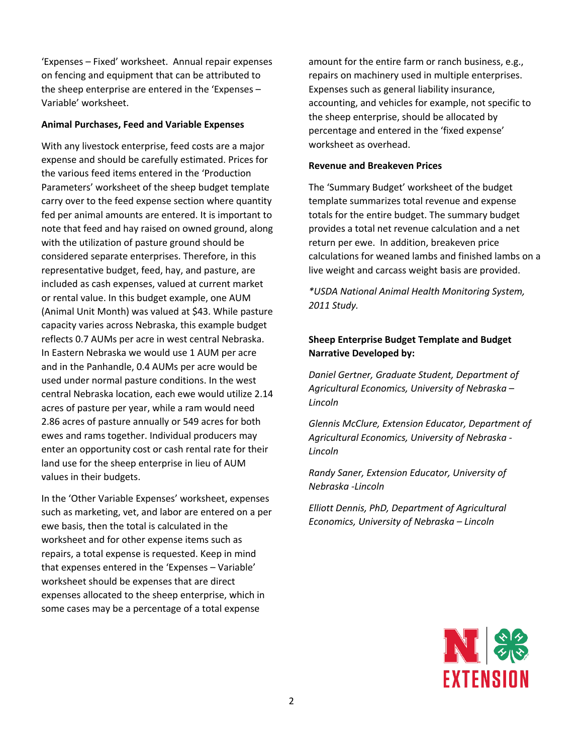'Expenses – Fixed' worksheet. Annual repair expenses on fencing and equipment that can be attributed to the sheep enterprise are entered in the 'Expenses – Variable' worksheet.

#### **Animal Purchases, Feed and Variable Expenses**

With any livestock enterprise, feed costs are a major expense and should be carefully estimated. Prices for the various feed items entered in the 'Production Parameters' worksheet of the sheep budget template carry over to the feed expense section where quantity fed per animal amounts are entered. It is important to note that feed and hay raised on owned ground, along with the utilization of pasture ground should be considered separate enterprises. Therefore, in this representative budget, feed, hay, and pasture, are included as cash expenses, valued at current market or rental value. In this budget example, one AUM (Animal Unit Month) was valued at \$43. While pasture capacity varies across Nebraska, this example budget reflects 0.7 AUMs per acre in west central Nebraska. In Eastern Nebraska we would use 1 AUM per acre and in the Panhandle, 0.4 AUMs per acre would be used under normal pasture conditions. In the west central Nebraska location, each ewe would utilize 2.14 acres of pasture per year, while a ram would need 2.86 acres of pasture annually or 549 acres for both ewes and rams together. Individual producers may enter an opportunity cost or cash rental rate for their land use for the sheep enterprise in lieu of AUM values in their budgets.

In the 'Other Variable Expenses' worksheet, expenses such as marketing, vet, and labor are entered on a per ewe basis, then the total is calculated in the worksheet and for other expense items such as repairs, a total expense is requested. Keep in mind that expenses entered in the 'Expenses – Variable' worksheet should be expenses that are direct expenses allocated to the sheep enterprise, which in some cases may be a percentage of a total expense

amount for the entire farm or ranch business, e.g., repairs on machinery used in multiple enterprises. Expenses such as general liability insurance, accounting, and vehicles for example, not specific to the sheep enterprise, should be allocated by percentage and entered in the 'fixed expense' worksheet as overhead.

#### **Revenue and Breakeven Prices**

The 'Summary Budget' worksheet of the budget template summarizes total revenue and expense totals for the entire budget. The summary budget provides a total net revenue calculation and a net return per ewe. In addition, breakeven price calculations for weaned lambs and finished lambs on a live weight and carcass weight basis are provided.

*\*USDA National Animal Health Monitoring System, 2011 Study.*

## **Sheep Enterprise Budget Template and Budget Narrative Developed by:**

*Daniel Gertner, Graduate Student, Department of Agricultural Economics, University of Nebraska – Lincoln*

*Glennis McClure, Extension Educator, Department of Agricultural Economics, University of Nebraska - Lincoln*

*Randy Saner, Extension Educator, University of Nebraska -Lincoln*

*Elliott Dennis, PhD, Department of Agricultural Economics, University of Nebraska – Lincoln*